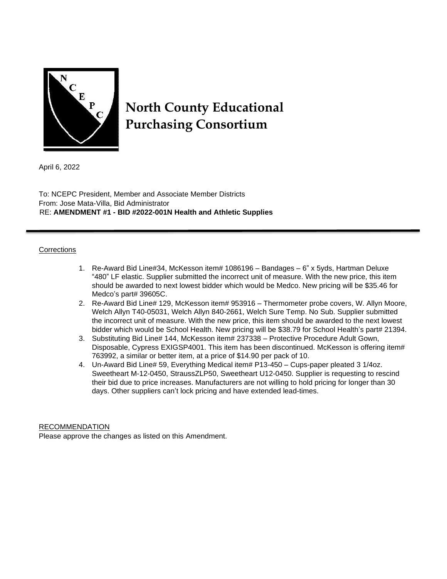

# **North County Educational Purchasing Consortium**

April 6, 2022

To: NCEPC President, Member and Associate Member Districts From: Jose Mata-Villa, Bid Administrator RE: **AMENDMENT #1 - BID #2022-001N Health and Athletic Supplies**

### **Corrections**

- 1. Re-Award Bid Line#34, McKesson item# 1086196 Bandages 6" x 5yds, Hartman Deluxe "480" LF elastic. Supplier submitted the incorrect unit of measure. With the new price, this item should be awarded to next lowest bidder which would be Medco. New pricing will be \$35.46 for Medco's part# 39605C.
- 2. Re-Award Bid Line# 129, McKesson item# 953916 Thermometer probe covers, W. Allyn Moore, Welch Allyn T40-05031, Welch Allyn 840-2661, Welch Sure Temp. No Sub. Supplier submitted the incorrect unit of measure. With the new price, this item should be awarded to the next lowest bidder which would be School Health. New pricing will be \$38.79 for School Health's part# 21394.
- 3. Substituting Bid Line# 144, McKesson item# 237338 Protective Procedure Adult Gown, Disposable, Cypress EXIGSP4001. This item has been discontinued. McKesson is offering item# 763992, a similar or better item, at a price of \$14.90 per pack of 10.
- 4. Un-Award Bid Line# 59, Everything Medical item# P13-450 Cups-paper pleated 3 1/4oz. Sweetheart M-12-0450, StraussZLP50, Sweetheart U12-0450. Supplier is requesting to rescind their bid due to price increases. Manufacturers are not willing to hold pricing for longer than 30 days. Other suppliers can't lock pricing and have extended lead-times.

#### RECOMMENDATION

Please approve the changes as listed on this Amendment.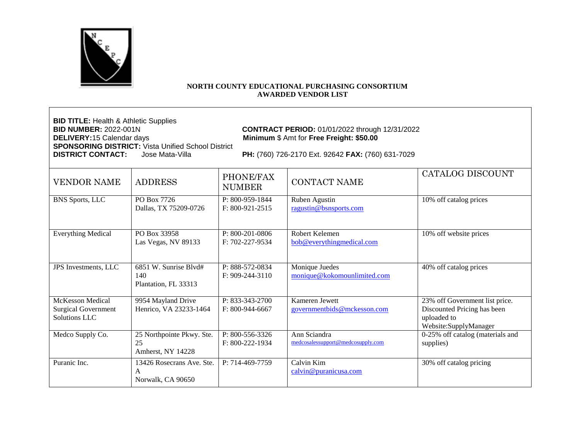

#### **NORTH COUNTY EDUCATIONAL PURCHASING CONSORTIUM AWARDED VENDOR LIST**

| <b>DISTRICT CONTACT:</b>                                               | <b>BID TITLE: Health &amp; Athletic Supplies</b><br><b>BID NUMBER: 2022-001N</b><br><b>CONTRACT PERIOD: 01/01/2022 through 12/31/2022</b><br>DELIVERY: 15 Calendar days<br>Minimum \$ Amt for Free Freight: \$50.00<br><b>SPONSORING DISTRICT:</b> Vista Unified School District<br>Jose Mata-Villa<br>PH: (760) 726-2170 Ext. 92642 FAX: (760) 631-7029 |                                          |                                                   |                                                                                                       |  |  |  |  |  |
|------------------------------------------------------------------------|----------------------------------------------------------------------------------------------------------------------------------------------------------------------------------------------------------------------------------------------------------------------------------------------------------------------------------------------------------|------------------------------------------|---------------------------------------------------|-------------------------------------------------------------------------------------------------------|--|--|--|--|--|
| <b>VENDOR NAME</b>                                                     | <b>ADDRESS</b>                                                                                                                                                                                                                                                                                                                                           | PHONE/FAX<br><b>NUMBER</b>               | <b>CONTACT NAME</b>                               | CATALOG DISCOUNT                                                                                      |  |  |  |  |  |
| <b>BNS</b> Sports, LLC                                                 | PO Box 7726<br>Dallas, TX 75209-0726                                                                                                                                                                                                                                                                                                                     | P: 800-959-1844<br>F: 800-921-2515       | Ruben Agustin<br>ragustin@bsnsports.com           | 10% off catalog prices                                                                                |  |  |  |  |  |
| <b>Everything Medical</b>                                              | PO Box 33958<br>Las Vegas, NV 89133                                                                                                                                                                                                                                                                                                                      | P: 800-201-0806<br>F: 702-227-9534       | Robert Kelemen<br>bob@everythingmedical.com       | 10% off website prices                                                                                |  |  |  |  |  |
| JPS Investments, LLC                                                   | 6851 W. Sunrise Blyd#<br>140<br>Plantation, FL 33313                                                                                                                                                                                                                                                                                                     | P: 888-572-0834<br>$F: 909 - 244 - 3110$ | Monique Juedes<br>monique@kokomounlimited.com     | 40% off catalog prices                                                                                |  |  |  |  |  |
| <b>McKesson Medical</b><br><b>Surgical Government</b><br>Solutions LLC | 9954 Mayland Drive<br>Henrico, VA 23233-1464                                                                                                                                                                                                                                                                                                             | P: 833-343-2700<br>$F: 800-944-6667$     | Kameren Jewett<br>governmentbids@mckesson.com     | 23% off Government list price.<br>Discounted Pricing has been<br>uploaded to<br>Website:SupplyManager |  |  |  |  |  |
| Medco Supply Co.                                                       | 25 Northpointe Pkwy. Ste.<br>25<br>Amherst, NY 14228                                                                                                                                                                                                                                                                                                     | P: 800-556-3326<br>F: 800-222-1934       | Ann Sciandra<br>medcosalessupport@medcosupply.com | 0-25% off catalog (materials and<br>supplies)                                                         |  |  |  |  |  |
| Puranic Inc.                                                           | 13426 Rosecrans Ave. Ste.<br>A<br>Norwalk, CA 90650                                                                                                                                                                                                                                                                                                      | P: 714-469-7759                          | Calvin Kim<br>calvin@puranicusa.com               | 30% off catalog pricing                                                                               |  |  |  |  |  |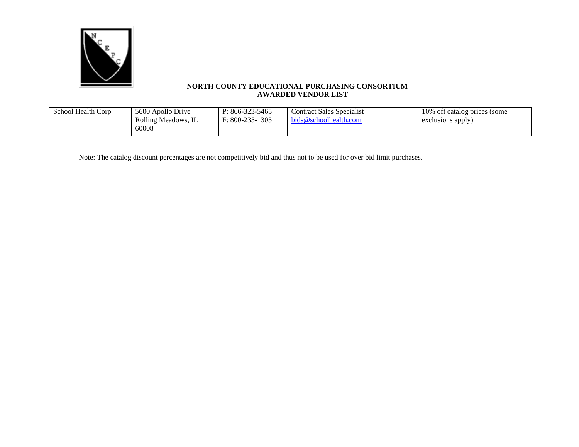

#### **NORTH COUNTY EDUCATIONAL PURCHASING CONSORTIUM AWARDED VENDOR LIST**

| 5600 Apollo Drive<br>School Health Corp<br>Rolling Meadows, IL<br>60008 | P: 866-323-5465<br>$F: 800 - 235 - 1305$ | Contract Sales Specialist<br>bids@schoolhealth.com | 10% off catalog prices (some<br>exclusions apply) |
|-------------------------------------------------------------------------|------------------------------------------|----------------------------------------------------|---------------------------------------------------|
|-------------------------------------------------------------------------|------------------------------------------|----------------------------------------------------|---------------------------------------------------|

Note: The catalog discount percentages are not competitively bid and thus not to be used for over bid limit purchases.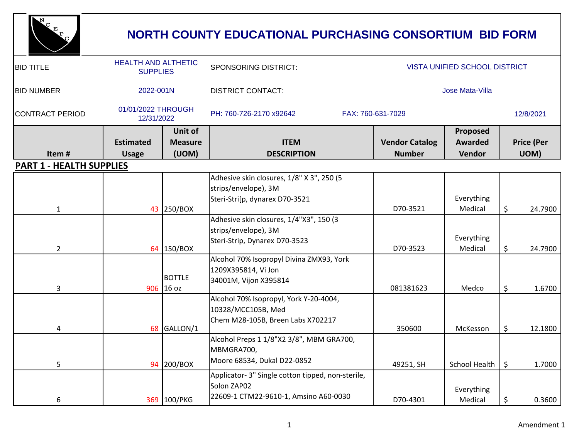

## **NORTH COUNTY EDUCATIONAL PURCHASING CONSORTIUM BID FORM**

| <b>BID TITLE</b>                | <b>HEALTH AND ALTHETIC</b><br><b>SUPPLIES</b> |                                              | <b>SPONSORING DISTRICT:</b>                       |                       | VISTA UNIFIED SCHOOL DISTRICT |           |                   |
|---------------------------------|-----------------------------------------------|----------------------------------------------|---------------------------------------------------|-----------------------|-------------------------------|-----------|-------------------|
| <b>BID NUMBER</b>               | 2022-001N                                     |                                              | <b>DISTRICT CONTACT:</b>                          |                       | Jose Mata-Villa               |           |                   |
| <b>CONTRACT PERIOD</b>          | 01/01/2022 THROUGH<br>12/31/2022              | PH: 760-726-2170 x92642<br>FAX: 760-631-7029 |                                                   |                       |                               | 12/8/2021 |                   |
|                                 |                                               | Unit of                                      |                                                   |                       | Proposed                      |           |                   |
|                                 | <b>Estimated</b>                              | <b>Measure</b>                               | <b>ITEM</b>                                       | <b>Vendor Catalog</b> | <b>Awarded</b>                |           | <b>Price (Per</b> |
| Item#                           | <b>Usage</b>                                  | (UOM)                                        | <b>DESCRIPTION</b>                                | <b>Number</b>         | Vendor                        |           | UOM)              |
| <b>PART 1 - HEALTH SUPPLIES</b> |                                               |                                              |                                                   |                       |                               |           |                   |
|                                 |                                               |                                              | Adhesive skin closures, 1/8" X 3", 250 (5         |                       |                               |           |                   |
|                                 |                                               |                                              | strips/envelope), 3M                              |                       |                               |           |                   |
|                                 |                                               |                                              | Steri-Stri[p, dynarex D70-3521                    |                       | Everything                    |           |                   |
| $\mathbf{1}$                    |                                               | 43 250/BOX                                   |                                                   | D70-3521              | Medical                       | \$        | 24.7900           |
|                                 |                                               |                                              | Adhesive skin closures, 1/4"X3", 150 (3           |                       |                               |           |                   |
|                                 |                                               |                                              | strips/envelope), 3M                              |                       |                               |           |                   |
|                                 |                                               |                                              | Steri-Strip, Dynarex D70-3523                     |                       | Everything                    |           |                   |
| $\overline{2}$                  |                                               | 64 150/BOX                                   |                                                   | D70-3523              | Medical                       | \$        | 24.7900           |
|                                 |                                               |                                              | Alcohol 70% Isopropyl Divina ZMX93, York          |                       |                               |           |                   |
|                                 |                                               | <b>BOTTLE</b>                                | 1209X395814, Vi Jon                               |                       |                               |           |                   |
| 3                               |                                               | 906 16 oz                                    | 34001M, Vijon X395814                             | 081381623             | Medco                         | \$        | 1.6700            |
|                                 |                                               |                                              | Alcohol 70% Isopropyl, York Y-20-4004,            |                       |                               |           |                   |
|                                 |                                               |                                              | 10328/MCC105B, Med                                |                       |                               |           |                   |
|                                 |                                               |                                              | Chem M28-105B, Breen Labs X702217                 |                       |                               |           |                   |
| $\overline{a}$                  | 68                                            | GALLON/1                                     |                                                   | 350600                | McKesson                      | \$        | 12.1800           |
|                                 |                                               |                                              | Alcohol Preps 1 1/8"X2 3/8", MBM GRA700,          |                       |                               |           |                   |
|                                 |                                               |                                              | MBMGRA700,                                        |                       |                               |           |                   |
| 5                               |                                               | 94 200/BOX                                   | Moore 68534, Dukal D22-0852                       | 49251, SH             | School Health                 | $\zeta$   | 1.7000            |
|                                 |                                               |                                              | Applicator- 3" Single cotton tipped, non-sterile, |                       |                               |           |                   |
|                                 |                                               |                                              | Solon ZAP02                                       |                       | Everything                    |           |                   |
| 6                               |                                               | 369 100/PKG                                  | 22609-1 CTM22-9610-1, Amsino A60-0030             | D70-4301              | Medical                       | \$        | 0.3600            |
|                                 |                                               |                                              |                                                   |                       |                               |           |                   |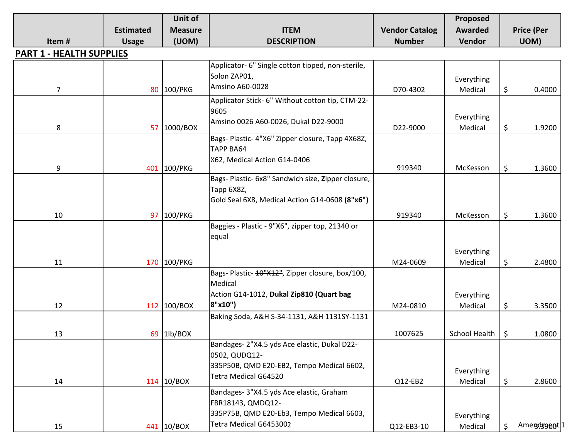|                                 |                  | Unit of        |                                                    |                       | Proposed       |                              |
|---------------------------------|------------------|----------------|----------------------------------------------------|-----------------------|----------------|------------------------------|
|                                 | <b>Estimated</b> | <b>Measure</b> | <b>ITEM</b>                                        | <b>Vendor Catalog</b> | <b>Awarded</b> | <b>Price (Per</b>            |
| Item#                           | <b>Usage</b>     | (UOM)          | <b>DESCRIPTION</b>                                 | <b>Number</b>         | Vendor         | UOM)                         |
| <b>PART 1 - HEALTH SUPPLIES</b> |                  |                |                                                    |                       |                |                              |
|                                 |                  |                | Applicator- 6" Single cotton tipped, non-sterile,  |                       |                |                              |
|                                 |                  |                | Solon ZAP01,                                       |                       | Everything     |                              |
| $\overline{7}$                  |                  | 80 100/PKG     | Amsino A60-0028                                    | D70-4302              | Medical        | \$<br>0.4000                 |
|                                 |                  |                | Applicator Stick- 6" Without cotton tip, CTM-22-   |                       |                |                              |
|                                 |                  |                | 9605                                               |                       | Everything     |                              |
| 8                               |                  | 57 1000/BOX    | Amsino 0026 A60-0026, Dukal D22-9000               | D22-9000              | Medical        | \$<br>1.9200                 |
|                                 |                  |                | Bags- Plastic- 4"X6" Zipper closure, Tapp 4X68Z,   |                       |                |                              |
|                                 |                  |                | <b>TAPP BA64</b>                                   |                       |                |                              |
|                                 |                  |                | X62, Medical Action G14-0406                       | 919340                | McKesson       |                              |
| 9                               |                  | 401 100/PKG    | Bags- Plastic- 6x8" Sandwich size, Zipper closure, |                       |                | \$<br>1.3600                 |
|                                 |                  |                | Tapp 6X8Z,                                         |                       |                |                              |
|                                 |                  |                | Gold Seal 6X8, Medical Action G14-0608 (8"x6")     |                       |                |                              |
| 10                              |                  | 97 100/PKG     |                                                    | 919340                | McKesson       | \$<br>1.3600                 |
|                                 |                  |                | Baggies - Plastic - 9"X6", zipper top, 21340 or    |                       |                |                              |
|                                 |                  |                | equal                                              |                       |                |                              |
|                                 |                  |                |                                                    |                       | Everything     |                              |
| 11                              |                  | 170 100/PKG    |                                                    | M24-0609              | Medical        | \$<br>2.4800                 |
|                                 |                  |                | Bags- Plastic- 40"X12", Zipper closure, box/100,   |                       |                |                              |
|                                 |                  |                | Medical                                            |                       |                |                              |
|                                 |                  |                | Action G14-1012, Dukal Zip810 (Quart bag           |                       | Everything     |                              |
| 12                              |                  | 112 100/BOX    | 8"x10")                                            | M24-0810              | Medical        | \$<br>3.3500                 |
|                                 |                  |                | Baking Soda, A&H S-34-1131, A&H 1131SY-1131        |                       |                |                              |
| 13                              |                  | 69 1lb/BOX     |                                                    | 1007625               | School Health  | \$<br>1.0800                 |
|                                 |                  |                | Bandages-2"X4.5 yds Ace elastic, Dukal D22-        |                       |                |                              |
|                                 |                  |                | 0502, QUDQ12-                                      |                       |                |                              |
|                                 |                  |                | 335P50B, QMD E20-EB2, Tempo Medical 6602,          |                       | Everything     |                              |
| 14                              |                  | $114$ 10/BOX   | Tetra Medical G64520                               | Q12-EB2               | Medical        | 2.8600<br>\$                 |
|                                 |                  |                | Bandages- 3"X4.5 yds Ace elastic, Graham           |                       |                |                              |
|                                 |                  |                | FBR18143, QMDQ12-                                  |                       |                |                              |
|                                 |                  |                | 335P75B, QMD E20-Eb3, Tempo Medical 6603,          |                       | Everything     |                              |
| 15                              |                  | 441 10/BOX     | Tetra Medical G6453002                             | Q12-EB3-10            | Medical        | Amendingent<br><sup>\$</sup> |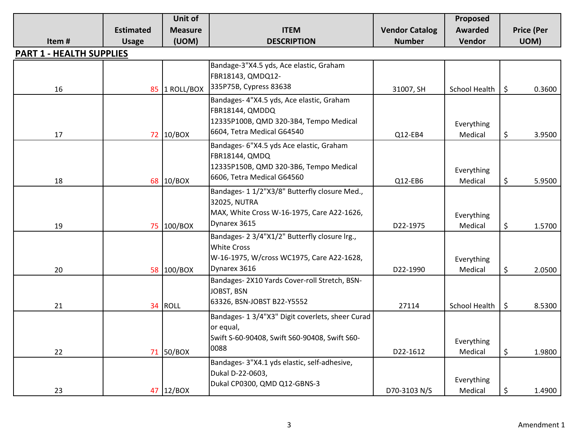|                                 |                  | Unit of        |                                                                      |                       | Proposed       |                          |
|---------------------------------|------------------|----------------|----------------------------------------------------------------------|-----------------------|----------------|--------------------------|
|                                 | <b>Estimated</b> | <b>Measure</b> | <b>ITEM</b>                                                          | <b>Vendor Catalog</b> | <b>Awarded</b> | <b>Price (Per</b>        |
| Item#                           | <b>Usage</b>     | (UOM)          | <b>DESCRIPTION</b>                                                   | <b>Number</b>         | Vendor         | UOM)                     |
| <b>PART 1 - HEALTH SUPPLIES</b> |                  |                |                                                                      |                       |                |                          |
|                                 |                  |                | Bandage-3"X4.5 yds, Ace elastic, Graham                              |                       |                |                          |
|                                 |                  |                | FBR18143, QMDQ12-                                                    |                       |                |                          |
| 16                              |                  | 85 1 ROLL/BOX  | 335P75B, Cypress 83638                                               | 31007, SH             | School Health  | \$<br>0.3600             |
|                                 |                  |                | Bandages- 4"X4.5 yds, Ace elastic, Graham                            |                       |                |                          |
|                                 |                  |                | FBR18144, QMDDQ                                                      |                       |                |                          |
|                                 |                  |                | 12335P100B, QMD 320-3B4, Tempo Medical                               |                       | Everything     |                          |
| 17                              |                  | 72 10/BOX      | 6604, Tetra Medical G64540                                           | Q12-EB4               | Medical        | \$<br>3.9500             |
|                                 |                  |                | Bandages- 6"X4.5 yds Ace elastic, Graham                             |                       |                |                          |
|                                 |                  |                | <b>FBR18144, QMDQ</b>                                                |                       |                |                          |
|                                 |                  |                | 12335P150B, QMD 320-3B6, Tempo Medical<br>6606, Tetra Medical G64560 |                       | Everything     |                          |
| 18                              |                  | 68 10/BOX      |                                                                      | Q12-EB6               | Medical        | \$<br>5.9500             |
|                                 |                  |                | Bandages- 1 1/2"X3/8" Butterfly closure Med.,                        |                       |                |                          |
|                                 |                  |                | 32025, NUTRA<br>MAX, White Cross W-16-1975, Care A22-1626,           |                       |                |                          |
|                                 |                  |                | Dynarex 3615                                                         |                       | Everything     |                          |
| 19                              |                  | 75 100/BOX     |                                                                      | D22-1975              | Medical        | \$<br>1.5700             |
|                                 |                  |                | Bandages- 2 3/4"X1/2" Butterfly closure lrg.,<br><b>White Cross</b>  |                       |                |                          |
|                                 |                  |                | W-16-1975, W/cross WC1975, Care A22-1628,                            |                       | Everything     |                          |
| 20                              |                  | 58 100/BOX     | Dynarex 3616                                                         | D22-1990              | Medical        | \$<br>2.0500             |
|                                 |                  |                | Bandages- 2X10 Yards Cover-roll Stretch, BSN-                        |                       |                |                          |
|                                 |                  |                | JOBST, BSN                                                           |                       |                |                          |
| 21                              |                  | 34 ROLL        | 63326, BSN-JOBST B22-Y5552                                           | 27114                 | School Health  | $\ddot{\zeta}$<br>8.5300 |
|                                 |                  |                | Bandages-13/4"X3" Digit coverlets, sheer Curad                       |                       |                |                          |
|                                 |                  |                | or equal,                                                            |                       |                |                          |
|                                 |                  |                | Swift S-60-90408, Swift S60-90408, Swift S60-                        |                       | Everything     |                          |
| 22                              |                  | 71 50/BOX      | 0088                                                                 | D22-1612              | Medical        | \$<br>1.9800             |
|                                 |                  |                | Bandages- 3"X4.1 yds elastic, self-adhesive,                         |                       |                |                          |
|                                 |                  |                | Dukal D-22-0603,                                                     |                       |                |                          |
|                                 |                  |                | Dukal CP0300, QMD Q12-GBNS-3                                         |                       | Everything     |                          |
| 23                              |                  | 47 $12/BOX$    |                                                                      | D70-3103 N/S          | Medical        | 1.4900<br>\$             |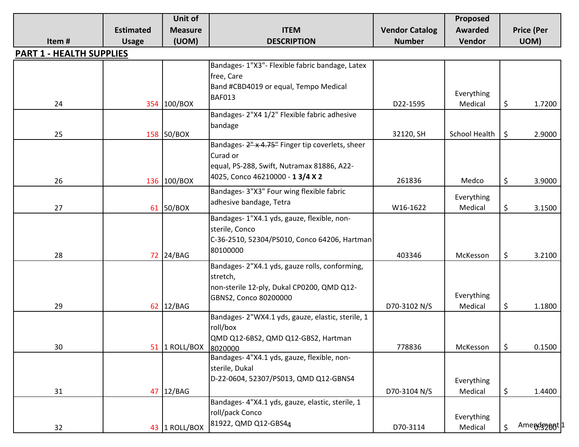|                                 |                  | Unit of        |                                                                               |                       | Proposed              |                       |
|---------------------------------|------------------|----------------|-------------------------------------------------------------------------------|-----------------------|-----------------------|-----------------------|
|                                 | <b>Estimated</b> | <b>Measure</b> | <b>ITEM</b>                                                                   | <b>Vendor Catalog</b> | <b>Awarded</b>        | <b>Price (Per</b>     |
| Item#                           | <b>Usage</b>     | (UOM)          | <b>DESCRIPTION</b>                                                            | <b>Number</b>         | Vendor                | UOM)                  |
| <b>PART 1 - HEALTH SUPPLIES</b> |                  |                |                                                                               |                       |                       |                       |
|                                 |                  |                | Bandages- 1"X3"- Flexible fabric bandage, Latex                               |                       |                       |                       |
|                                 |                  |                | free, Care                                                                    |                       |                       |                       |
|                                 |                  |                | Band #CBD4019 or equal, Tempo Medical                                         |                       | Everything            |                       |
| 24                              |                  | 354 100/BOX    | <b>BAF013</b>                                                                 | D22-1595              | Medical               | \$<br>1.7200          |
|                                 |                  |                | Bandages- 2"X4 1/2" Flexible fabric adhesive                                  |                       |                       |                       |
|                                 |                  |                | bandage                                                                       |                       |                       |                       |
| 25                              |                  | 158 50/BOX     |                                                                               | 32120, SH             | School Health         | 2.9000<br>\$          |
|                                 |                  |                | Bandages- 2" x 4.75" Finger tip coverlets, sheer                              |                       |                       |                       |
|                                 |                  |                | Curad or                                                                      |                       |                       |                       |
|                                 |                  |                | equal, PS-288, Swift, Nutramax 81886, A22-<br>4025, Conco 46210000 - 13/4 X 2 |                       |                       |                       |
| 26                              |                  | 136 100/BOX    |                                                                               | 261836                | Medco                 | \$<br>3.9000          |
|                                 |                  |                | Bandages- 3"X3" Four wing flexible fabric                                     |                       | Everything            |                       |
| 27                              |                  | 61 50/BOX      | adhesive bandage, Tetra                                                       | W16-1622              | Medical               | \$<br>3.1500          |
|                                 |                  |                | Bandages- 1"X4.1 yds, gauze, flexible, non-                                   |                       |                       |                       |
|                                 |                  |                | sterile, Conco                                                                |                       |                       |                       |
|                                 |                  |                | C-36-2510, 52304/PS010, Conco 64206, Hartman                                  |                       |                       |                       |
| 28                              |                  | 72 24/BAG      | 80100000                                                                      | 403346                | McKesson              | \$<br>3.2100          |
|                                 |                  |                | Bandages-2"X4.1 yds, gauze rolls, conforming,                                 |                       |                       |                       |
|                                 |                  |                | stretch,                                                                      |                       |                       |                       |
|                                 |                  |                | non-sterile 12-ply, Dukal CP0200, QMD Q12-                                    |                       | Everything            |                       |
| 29                              |                  | 62 12/BAG      | GBNS2, Conco 80200000                                                         | D70-3102 N/S          | Medical               | \$<br>1.1800          |
|                                 |                  |                | Bandages-2"WX4.1 yds, gauze, elastic, sterile, 1                              |                       |                       |                       |
|                                 |                  |                | roll/box                                                                      |                       |                       |                       |
|                                 |                  |                | QMD Q12-6BS2, QMD Q12-GBS2, Hartman                                           |                       |                       |                       |
| 30                              |                  | 51 1 ROLL/BOX  | 8020000                                                                       | 778836                | McKesson              | \$<br>0.1500          |
|                                 |                  |                | Bandages- 4"X4.1 yds, gauze, flexible, non-<br>sterile, Dukal                 |                       |                       |                       |
|                                 |                  |                | D-22-0604, 52307/PS013, QMD Q12-GBNS4                                         |                       |                       |                       |
| 31                              |                  | 47 12/BAG      |                                                                               | D70-3104 N/S          | Everything<br>Medical | \$<br>1.4400          |
|                                 |                  |                | Bandages- 4"X4.1 yds, gauze, elastic, sterile, 1                              |                       |                       |                       |
|                                 |                  |                | roll/pack Conco                                                               |                       |                       |                       |
| 32                              |                  | 43 1 ROLL/BOX  | 81922, QMD Q12-GBS44                                                          | D70-3114              | Everything<br>Medical | Amendspant<br>$\zeta$ |
|                                 |                  |                |                                                                               |                       |                       |                       |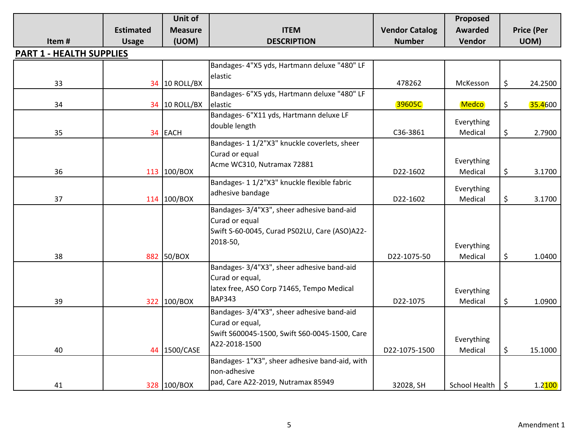|                                 |                  | Unit of        |                                                |                       | Proposed       |                                 |
|---------------------------------|------------------|----------------|------------------------------------------------|-----------------------|----------------|---------------------------------|
|                                 | <b>Estimated</b> | <b>Measure</b> | <b>ITEM</b>                                    | <b>Vendor Catalog</b> | <b>Awarded</b> | <b>Price (Per</b>               |
| Item#                           | <b>Usage</b>     | (UOM)          | <b>DESCRIPTION</b>                             | <b>Number</b>         | Vendor         | UOM)                            |
| <b>PART 1 - HEALTH SUPPLIES</b> |                  |                |                                                |                       |                |                                 |
|                                 |                  |                | Bandages- 4"X5 yds, Hartmann deluxe "480" LF   |                       |                |                                 |
| 33                              |                  | 34 10 ROLL/BX  | elastic                                        | 478262                | McKesson       | \$<br>24.2500                   |
|                                 |                  |                | Bandages- 6"X5 yds, Hartmann deluxe "480" LF   |                       |                |                                 |
| 34                              |                  | 34 10 ROLL/BX  | elastic                                        | 39605C                | <b>Medco</b>   | \$<br>35.4600                   |
|                                 |                  |                | Bandages- 6"X11 yds, Hartmann deluxe LF        |                       | Everything     |                                 |
| 35                              |                  | 34 EACH        | double length                                  | C36-3861              | Medical        | \$<br>2.7900                    |
|                                 |                  |                | Bandages- 1 1/2"X3" knuckle coverlets, sheer   |                       |                |                                 |
|                                 |                  |                | Curad or equal                                 |                       |                |                                 |
|                                 |                  |                | Acme WC310, Nutramax 72881                     |                       | Everything     |                                 |
| 36                              |                  | 113 100/BOX    |                                                | D22-1602              | Medical        | \$<br>3.1700                    |
|                                 |                  |                | Bandages- 1 1/2"X3" knuckle flexible fabric    |                       | Everything     |                                 |
| 37                              |                  | 114 100/BOX    | adhesive bandage                               | D22-1602              | Medical        | \$<br>3.1700                    |
|                                 |                  |                | Bandages- 3/4"X3", sheer adhesive band-aid     |                       |                |                                 |
|                                 |                  |                | Curad or equal                                 |                       |                |                                 |
|                                 |                  |                | Swift S-60-0045, Curad PS02LU, Care (ASO)A22-  |                       |                |                                 |
|                                 |                  |                | 2018-50,                                       |                       | Everything     |                                 |
| 38                              |                  | 882 50/BOX     |                                                | D22-1075-50           | Medical        | \$<br>1.0400                    |
|                                 |                  |                | Bandages- 3/4"X3", sheer adhesive band-aid     |                       |                |                                 |
|                                 |                  |                | Curad or equal,                                |                       |                |                                 |
|                                 |                  |                | latex free, ASO Corp 71465, Tempo Medical      |                       | Everything     |                                 |
| 39                              |                  | 322 100/BOX    | <b>BAP343</b>                                  | D22-1075              | Medical        | \$<br>1.0900                    |
|                                 |                  |                | Bandages- 3/4"X3", sheer adhesive band-aid     |                       |                |                                 |
|                                 |                  |                | Curad or equal,                                |                       |                |                                 |
|                                 |                  |                | Swift S600045-1500, Swift S60-0045-1500, Care  |                       | Everything     |                                 |
| 40                              |                  | 44 1500/CASE   | A22-2018-1500                                  | D22-1075-1500         | Medical        | \$<br>15.1000                   |
|                                 |                  |                | Bandages- 1"X3", sheer adhesive band-aid, with |                       |                |                                 |
|                                 |                  |                | non-adhesive                                   |                       |                |                                 |
| 41                              |                  | 328 100/BOX    | pad, Care A22-2019, Nutramax 85949             | 32028, SH             | School Health  | 1.2 <mark>100</mark><br>$\zeta$ |
|                                 |                  |                |                                                |                       |                |                                 |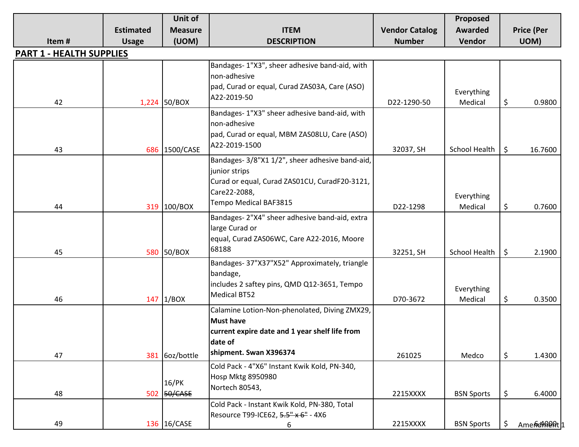|                                 |                  | Unit of          |                                                                                                                                                            |                       | Proposed              |                     |
|---------------------------------|------------------|------------------|------------------------------------------------------------------------------------------------------------------------------------------------------------|-----------------------|-----------------------|---------------------|
|                                 | <b>Estimated</b> | <b>Measure</b>   | <b>ITEM</b>                                                                                                                                                | <b>Vendor Catalog</b> | <b>Awarded</b>        | <b>Price (Per</b>   |
| Item#                           | <b>Usage</b>     | (UOM)            | <b>DESCRIPTION</b>                                                                                                                                         | <b>Number</b>         | Vendor                | UOM)                |
| <b>PART 1 - HEALTH SUPPLIES</b> |                  |                  |                                                                                                                                                            |                       |                       |                     |
|                                 |                  |                  | Bandages- 1"X3", sheer adhesive band-aid, with<br>non-adhesive<br>pad, Curad or equal, Curad ZAS03A, Care (ASO)                                            |                       | Everything            |                     |
| 42                              |                  | 1,224 50/BOX     | A22-2019-50                                                                                                                                                | D22-1290-50           | Medical               | \$<br>0.9800        |
| 43                              |                  | 686 1500/CASE    | Bandages- 1"X3" sheer adhesive band-aid, with<br>non-adhesive<br>pad, Curad or equal, MBM ZAS08LU, Care (ASO)<br>A22-2019-1500                             | 32037, SH             | School Health         | $\zeta$<br>16.7600  |
|                                 |                  |                  | Bandages- 3/8"X1 1/2", sheer adhesive band-aid,<br>junior strips<br>Curad or equal, Curad ZAS01CU, CuradF20-3121,<br>Care22-2088,<br>Tempo Medical BAF3815 |                       | Everything            |                     |
| 44                              |                  | 319 100/BOX      |                                                                                                                                                            | D22-1298              | Medical               | \$<br>0.7600        |
| 45                              |                  | 580 50/BOX       | Bandages-2"X4" sheer adhesive band-aid, extra<br>large Curad or<br>equal, Curad ZAS06WC, Care A22-2016, Moore<br>68188                                     | 32251, SH             | School Health         | \$<br>2.1900        |
| 46                              |                  | $147$ 1/BOX      | Bandages- 37"X37"X52" Approximately, triangle<br>bandage,<br>includes 2 saftey pins, QMD Q12-3651, Tempo<br><b>Medical BT52</b>                            | D70-3672              | Everything<br>Medical | \$<br>0.3500        |
|                                 |                  |                  | Calamine Lotion-Non-phenolated, Diving ZMX29,<br><b>Must have</b><br>current expire date and 1 year shelf life from<br>date of                             |                       |                       |                     |
| 47                              |                  | 381 6oz/bottle   | shipment. Swan X396374                                                                                                                                     | 261025                | Medco                 | \$<br>1.4300        |
| 48                              | 502              | 16/PK<br>50/CASE | Cold Pack - 4"X6" Instant Kwik Kold, PN-340,<br>Hosp Mktg 8950980<br>Nortech 80543,                                                                        | 2215XXXX              | <b>BSN Sports</b>     | \$<br>6.4000        |
| 49                              |                  | 136 16/CASE      | Cold Pack - Instant Kwik Kold, PN-380, Total<br>Resource T99-ICE62, 5.5" x 6" - 4X6<br>6                                                                   | 2215XXXX              | <b>BSN Sports</b>     | \$<br>Amerocheent 1 |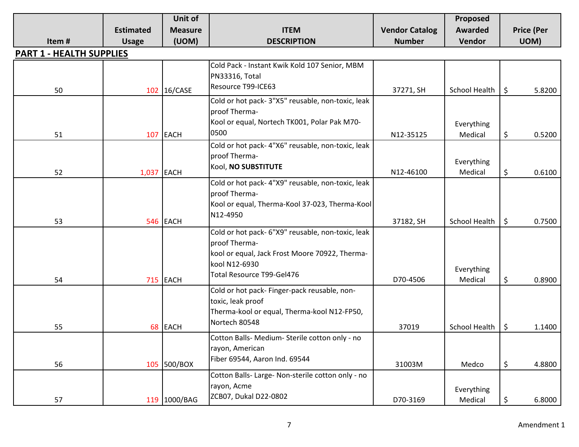|                                 |                  | Unit of         |                                                   |                       | Proposed       |                              |
|---------------------------------|------------------|-----------------|---------------------------------------------------|-----------------------|----------------|------------------------------|
|                                 | <b>Estimated</b> | <b>Measure</b>  | <b>ITEM</b>                                       | <b>Vendor Catalog</b> | <b>Awarded</b> | <b>Price (Per</b>            |
| Item#                           | <b>Usage</b>     | (UOM)           | <b>DESCRIPTION</b>                                | <b>Number</b>         | Vendor         | UOM)                         |
| <b>PART 1 - HEALTH SUPPLIES</b> |                  |                 |                                                   |                       |                |                              |
|                                 |                  |                 | Cold Pack - Instant Kwik Kold 107 Senior, MBM     |                       |                |                              |
|                                 |                  |                 | <b>PN33316, Total</b>                             |                       |                |                              |
| 50                              |                  | 102 16/CASE     | Resource T99-ICE63                                | 37271, SH             | School Health  | $\ddot{\varsigma}$<br>5.8200 |
|                                 |                  |                 | Cold or hot pack-3"X5" reusable, non-toxic, leak  |                       |                |                              |
|                                 |                  |                 | proof Therma-                                     |                       |                |                              |
|                                 |                  |                 | Kool or equal, Nortech TK001, Polar Pak M70-      |                       | Everything     |                              |
| 51                              |                  | <b>107 EACH</b> | 0500                                              | N12-35125             | Medical        | \$<br>0.5200                 |
|                                 |                  |                 | Cold or hot pack-4"X6" reusable, non-toxic, leak  |                       |                |                              |
|                                 |                  |                 | proof Therma-                                     |                       | Everything     |                              |
| 52                              | 1,037 EACH       |                 | Kool, NO SUBSTITUTE                               | N12-46100             | Medical        | \$<br>0.6100                 |
|                                 |                  |                 | Cold or hot pack- 4"X9" reusable, non-toxic, leak |                       |                |                              |
|                                 |                  |                 | proof Therma-                                     |                       |                |                              |
|                                 |                  |                 | Kool or equal, Therma-Kool 37-023, Therma-Kool    |                       |                |                              |
| 53                              |                  | <b>546 EACH</b> | N12-4950                                          | 37182, SH             | School Health  | \$<br>0.7500                 |
|                                 |                  |                 | Cold or hot pack- 6"X9" reusable, non-toxic, leak |                       |                |                              |
|                                 |                  |                 | proof Therma-                                     |                       |                |                              |
|                                 |                  |                 | kool or equal, Jack Frost Moore 70922, Therma-    |                       |                |                              |
|                                 |                  |                 | kool N12-6930                                     |                       | Everything     |                              |
| 54                              |                  | <b>715 EACH</b> | Total Resource T99-Gel476                         | D70-4506              | Medical        | \$<br>0.8900                 |
|                                 |                  |                 | Cold or hot pack- Finger-pack reusable, non-      |                       |                |                              |
|                                 |                  |                 | toxic, leak proof                                 |                       |                |                              |
|                                 |                  |                 | Therma-kool or equal, Therma-kool N12-FP50,       |                       |                |                              |
| 55                              |                  | 68 EACH         | Nortech 80548                                     | 37019                 | School Health  | \$<br>1.1400                 |
|                                 |                  |                 | Cotton Balls- Medium- Sterile cotton only - no    |                       |                |                              |
|                                 |                  |                 | rayon, American                                   |                       |                |                              |
| 56                              |                  | 105 500/BOX     | Fiber 69544, Aaron Ind. 69544                     | 31003M                | Medco          | \$<br>4.8800                 |
|                                 |                  |                 | Cotton Balls- Large- Non-sterile cotton only - no |                       |                |                              |
|                                 |                  |                 | rayon, Acme                                       |                       | Everything     |                              |
| 57                              |                  | 119 1000/BAG    | ZCB07, Dukal D22-0802                             | D70-3169              | Medical        | \$<br>6.8000                 |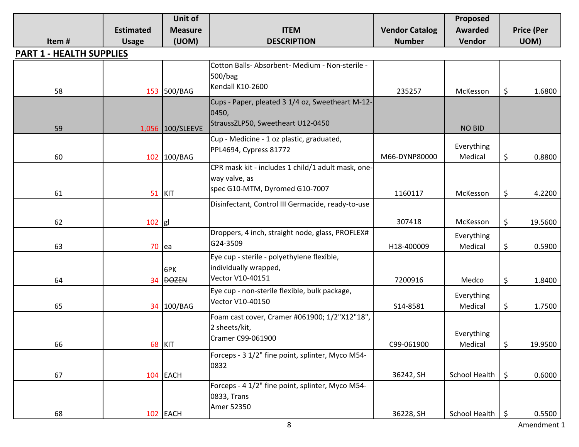|                                 |                  | Unit of          |                                                    |                       | Proposed           |                   |
|---------------------------------|------------------|------------------|----------------------------------------------------|-----------------------|--------------------|-------------------|
|                                 | <b>Estimated</b> | <b>Measure</b>   | <b>ITEM</b>                                        | <b>Vendor Catalog</b> | Awarded            | <b>Price (Per</b> |
| Item#                           | <b>Usage</b>     | (UOM)            | <b>DESCRIPTION</b>                                 | <b>Number</b>         | Vendor             | UOM)              |
| <b>PART 1 - HEALTH SUPPLIES</b> |                  |                  |                                                    |                       |                    |                   |
|                                 |                  |                  | Cotton Balls-Absorbent-Medium - Non-sterile -      |                       |                    |                   |
|                                 |                  |                  | 500/bag                                            |                       |                    |                   |
| 58                              |                  | 153 500/BAG      | <b>Kendall K10-2600</b>                            | 235257                | McKesson           | \$<br>1.6800      |
|                                 |                  |                  | Cups - Paper, pleated 3 1/4 oz, Sweetheart M-12-   |                       |                    |                   |
|                                 |                  |                  | 0450,                                              |                       |                    |                   |
| 59                              |                  | 1,056 100/SLEEVE | StraussZLP50, Sweetheart U12-0450                  |                       | <b>NO BID</b>      |                   |
|                                 |                  |                  | Cup - Medicine - 1 oz plastic, graduated,          |                       | Everything         |                   |
| 60                              |                  | 102 100/BAG      | PPL4694, Cypress 81772                             | M66-DYNP80000         | Medical            | \$<br>0.8800      |
|                                 |                  |                  | CPR mask kit - includes 1 child/1 adult mask, one- |                       |                    |                   |
|                                 |                  |                  | way valve, as                                      |                       |                    |                   |
| 61                              |                  | 51 KIT           | spec G10-MTM, Dyromed G10-7007                     | 1160117               | McKesson           | \$<br>4.2200      |
|                                 |                  |                  | Disinfectant, Control III Germacide, ready-to-use  |                       |                    |                   |
| 62                              | 102 gl           |                  |                                                    | 307418                | McKesson           | \$<br>19.5600     |
|                                 |                  |                  | Droppers, 4 inch, straight node, glass, PROFLEX#   |                       | Everything         |                   |
| 63                              |                  | $70$ ea          | G24-3509                                           | H18-400009            | Medical            | \$<br>0.5900      |
|                                 |                  |                  | Eye cup - sterile - polyethylene flexible,         |                       |                    |                   |
|                                 |                  | 6PK              | individually wrapped,                              |                       |                    |                   |
| 64                              |                  | 34   DOZEN       | Vector V10-40151                                   | 7200916               | Medco              | \$<br>1.8400      |
|                                 |                  |                  | Eye cup - non-sterile flexible, bulk package,      |                       | Everything         |                   |
| 65                              |                  | 34 100/BAG       | Vector V10-40150                                   | S14-8581              | Medical            | \$<br>1.7500      |
|                                 |                  |                  | Foam cast cover, Cramer #061900; 1/2"X12"18",      |                       |                    |                   |
|                                 |                  |                  | 2 sheets/kit,                                      |                       | Everything         |                   |
| 66                              |                  | 68 KIT           | Cramer C99-061900                                  | C99-061900            | Medical            | \$<br>19.9500     |
|                                 |                  |                  | Forceps - 3 1/2" fine point, splinter, Myco M54-   |                       |                    |                   |
|                                 |                  |                  | 0832                                               |                       |                    |                   |
| 67                              |                  | 104 EACH         |                                                    | 36242, SH             | School Health      | \$<br>0.6000      |
|                                 |                  |                  | Forceps - 4 1/2" fine point, splinter, Myco M54-   |                       |                    |                   |
|                                 |                  |                  | 0833, Trans<br>Amer 52350                          |                       |                    |                   |
| 68                              |                  | $102$ EACH       |                                                    | 36228, SH             | School Health   \$ | 0.5500            |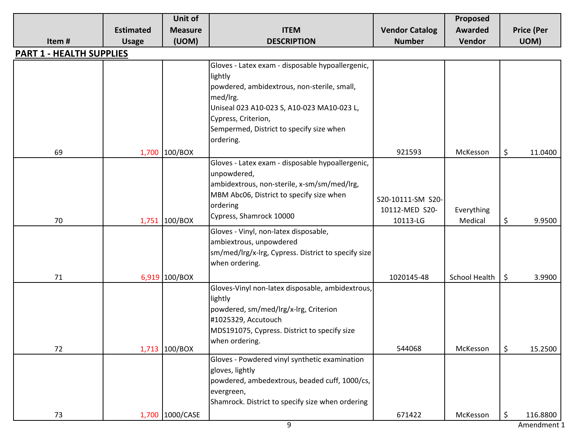|                                 |                  | Unit of         |                                                                                                                                                                                                                                         |                                                 | Proposed                  |                     |
|---------------------------------|------------------|-----------------|-----------------------------------------------------------------------------------------------------------------------------------------------------------------------------------------------------------------------------------------|-------------------------------------------------|---------------------------|---------------------|
|                                 | <b>Estimated</b> | <b>Measure</b>  | <b>ITEM</b>                                                                                                                                                                                                                             | <b>Vendor Catalog</b>                           | <b>Awarded</b>            | <b>Price (Per</b>   |
| Item#                           | <b>Usage</b>     | (UOM)           | <b>DESCRIPTION</b>                                                                                                                                                                                                                      | <b>Number</b>                                   | Vendor                    | UOM)                |
| <b>PART 1 - HEALTH SUPPLIES</b> |                  |                 |                                                                                                                                                                                                                                         |                                                 |                           |                     |
|                                 |                  |                 | Gloves - Latex exam - disposable hypoallergenic,<br>lightly<br>powdered, ambidextrous, non-sterile, small,<br>med/lrg.<br>Uniseal 023 A10-023 S, A10-023 MA10-023 L,<br>Cypress, Criterion,<br>Sempermed, District to specify size when |                                                 |                           |                     |
| 69                              |                  | 1,700 100/BOX   | ordering.                                                                                                                                                                                                                               | 921593                                          | McKesson                  | 11.0400<br>\$       |
| 70                              |                  | 1,751 100/BOX   | Gloves - Latex exam - disposable hypoallergenic,<br>unpowdered,<br>ambidextrous, non-sterile, x-sm/sm/med/lrg,<br>MBM Abc06, District to specify size when<br>ordering<br>Cypress, Shamrock 10000                                       | S20-10111-SM S20-<br>10112-MED S20-<br>10113-LG | Everything<br>Medical     | \$<br>9.9500        |
|                                 |                  |                 | Gloves - Vinyl, non-latex disposable,                                                                                                                                                                                                   |                                                 |                           |                     |
|                                 |                  | 6,919 100/BOX   | ambiextrous, unpowdered<br>sm/med/lrg/x-lrg, Cypress. District to specify size<br>when ordering.                                                                                                                                        |                                                 |                           | 3.9900              |
| 71<br>72                        |                  | 1,713 100/BOX   | Gloves-Vinyl non-latex disposable, ambidextrous,<br>lightly<br>powdered, sm/med/lrg/x-lrg, Criterion<br>#1025329, Accutouch<br>MDS191075, Cypress. District to specify size<br>when ordering.                                           | 1020145-48<br>544068                            | School Health<br>McKesson | \$<br>15.2500<br>\$ |
| 73                              |                  | 1,700 1000/CASE | Gloves - Powdered vinyl synthetic examination<br>gloves, lightly<br>powdered, ambedextrous, beaded cuff, 1000/cs,<br>evergreen,<br>Shamrock. District to specify size when ordering                                                     | 671422                                          | McKesson                  | 116.8800<br>S       |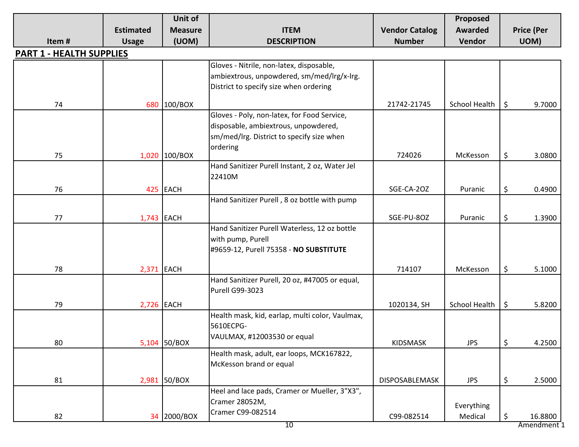|                                 |                  | Unit of        |                                                 |                       | Proposed       |                      |
|---------------------------------|------------------|----------------|-------------------------------------------------|-----------------------|----------------|----------------------|
|                                 | <b>Estimated</b> | <b>Measure</b> | <b>ITEM</b>                                     | <b>Vendor Catalog</b> | <b>Awarded</b> | <b>Price (Per</b>    |
| Item#                           | <b>Usage</b>     | (UOM)          | <b>DESCRIPTION</b>                              | <b>Number</b>         | Vendor         | UOM)                 |
| <b>PART 1 - HEALTH SUPPLIES</b> |                  |                |                                                 |                       |                |                      |
|                                 |                  |                | Gloves - Nitrile, non-latex, disposable,        |                       |                |                      |
|                                 |                  |                | ambiextrous, unpowdered, sm/med/lrg/x-lrg.      |                       |                |                      |
|                                 |                  |                | District to specify size when ordering          |                       |                |                      |
| 74                              |                  | 680 100/BOX    |                                                 | 21742-21745           | School Health  | $\vert$ \$<br>9.7000 |
|                                 |                  |                | Gloves - Poly, non-latex, for Food Service,     |                       |                |                      |
|                                 |                  |                | disposable, ambiextrous, unpowdered,            |                       |                |                      |
|                                 |                  |                | sm/med/lrg. District to specify size when       |                       |                |                      |
| 75                              |                  | 1,020 100/BOX  | ordering                                        | 724026                | McKesson       | \$<br>3.0800         |
|                                 |                  |                | Hand Sanitizer Purell Instant, 2 oz, Water Jel  |                       |                |                      |
|                                 |                  |                | 22410M                                          |                       |                |                      |
| 76                              |                  | 425 EACH       |                                                 | SGE-CA-2OZ            | Puranic        | \$<br>0.4900         |
|                                 |                  |                | Hand Sanitizer Purell, 8 oz bottle with pump    |                       |                |                      |
|                                 |                  |                |                                                 |                       |                |                      |
| 77                              | 1,743 EACH       |                |                                                 | SGE-PU-8OZ            | Puranic        | \$<br>1.3900         |
|                                 |                  |                | Hand Sanitizer Purell Waterless, 12 oz bottle   |                       |                |                      |
|                                 |                  |                | with pump, Purell                               |                       |                |                      |
|                                 |                  |                | #9659-12, Purell 75358 - NO SUBSTITUTE          |                       |                |                      |
| 78                              | 2,371            | EACH           |                                                 | 714107                | McKesson       | \$<br>5.1000         |
|                                 |                  |                | Hand Sanitizer Purell, 20 oz, #47005 or equal,  |                       |                |                      |
|                                 |                  |                | <b>Purell G99-3023</b>                          |                       |                |                      |
| 79                              | 2,726 EACH       |                |                                                 | 1020134, SH           | School Health  | \$ ا<br>5.8200       |
|                                 |                  |                | Health mask, kid, earlap, multi color, Vaulmax, |                       |                |                      |
|                                 |                  |                | 5610ECPG-                                       |                       |                |                      |
| 80                              |                  | 5,104 50/BOX   | VAULMAX, #12003530 or equal                     | KIDSMASK              | <b>JPS</b>     | \$<br>4.2500         |
|                                 |                  |                | Health mask, adult, ear loops, MCK167822,       |                       |                |                      |
|                                 |                  |                | McKesson brand or equal                         |                       |                |                      |
| 81                              |                  | 2,981 50/BOX   |                                                 | DISPOSABLEMASK        | <b>JPS</b>     | \$<br>2.5000         |
|                                 |                  |                | Heel and lace pads, Cramer or Mueller, 3"X3",   |                       |                |                      |
|                                 |                  |                | Cramer 28052M,                                  |                       | Everything     |                      |
| 82                              |                  | 34 2000/BOX    | Cramer C99-082514                               | C99-082514            | Medical        | \$<br>16.8800        |
|                                 |                  |                | 10                                              |                       |                | Amendment 1          |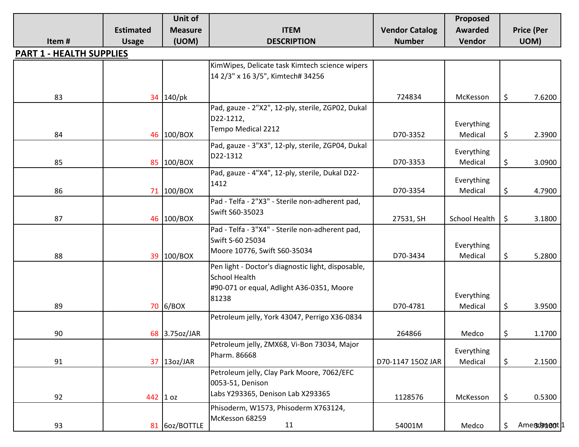|                                 |                  | Unit of        |                                                                            |                       | Proposed              |                               |
|---------------------------------|------------------|----------------|----------------------------------------------------------------------------|-----------------------|-----------------------|-------------------------------|
|                                 | <b>Estimated</b> | <b>Measure</b> | <b>ITEM</b>                                                                | <b>Vendor Catalog</b> | <b>Awarded</b>        | <b>Price (Per</b>             |
| Item#                           | <b>Usage</b>     | (UOM)          | <b>DESCRIPTION</b>                                                         | <b>Number</b>         | Vendor                | UOM)                          |
| <b>PART 1 - HEALTH SUPPLIES</b> |                  |                |                                                                            |                       |                       |                               |
|                                 |                  |                | KimWipes, Delicate task Kimtech science wipers                             |                       |                       |                               |
|                                 |                  |                | 14 2/3" x 16 3/5", Kimtech# 34256                                          |                       |                       |                               |
| 83                              |                  | 34 140/pk      |                                                                            | 724834                | McKesson              | \$<br>7.6200                  |
|                                 |                  |                | Pad, gauze - 2"X2", 12-ply, sterile, ZGP02, Dukal                          |                       |                       |                               |
|                                 |                  |                | D22-1212,<br>Tempo Medical 2212                                            |                       | Everything            |                               |
| 84                              |                  | 46 100/BOX     |                                                                            | D70-3352              | Medical               | \$<br>2.3900                  |
|                                 |                  |                | Pad, gauze - 3"X3", 12-ply, sterile, ZGP04, Dukal<br>D22-1312              |                       | Everything            |                               |
| 85                              |                  | 85 100/BOX     |                                                                            | D70-3353              | Medical               | \$<br>3.0900                  |
|                                 |                  |                | Pad, gauze - 4"X4", 12-ply, sterile, Dukal D22-<br>1412                    |                       | Everything            |                               |
| 86                              |                  | 71 100/BOX     |                                                                            | D70-3354              | Medical               | \$<br>4.7900                  |
|                                 |                  |                | Pad - Telfa - 2"X3" - Sterile non-adherent pad,                            |                       |                       |                               |
| 87                              |                  | 46 100/BOX     | Swift S60-35023                                                            | 27531, SH             | School Health         | 3.1800<br>\$                  |
|                                 |                  |                | Pad - Telfa - 3"X4" - Sterile non-adherent pad,                            |                       |                       |                               |
|                                 |                  |                | Swift S-60 25034<br>Moore 10776, Swift S60-35034                           |                       | Everything            |                               |
| 88                              |                  | 39 100/BOX     |                                                                            | D70-3434              | Medical               | \$<br>5.2800                  |
|                                 |                  |                | Pen light - Doctor's diagnostic light, disposable,<br><b>School Health</b> |                       |                       |                               |
|                                 |                  |                | #90-071 or equal, Adlight A36-0351, Moore                                  |                       |                       |                               |
| 89                              |                  | $70$ 6/BOX     | 81238                                                                      | D70-4781              | Everything<br>Medical | 3.9500                        |
|                                 |                  |                | Petroleum jelly, York 43047, Perrigo X36-0834                              |                       |                       | \$                            |
| 90                              |                  | 68 3.75 oz/JAR |                                                                            | 264866                | Medco                 | \$<br>1.1700                  |
|                                 |                  |                | Petroleum jelly, ZMX68, Vi-Bon 73034, Major                                |                       |                       |                               |
| 91                              |                  | 37 13oz/JAR    | Pharm. 86668                                                               | D70-1147 15OZ JAR     | Everything<br>Medical |                               |
|                                 |                  |                | Petroleum jelly, Clay Park Moore, 7062/EFC                                 |                       |                       | \$<br>2.1500                  |
|                                 |                  |                | 0053-51, Denison                                                           |                       |                       |                               |
| 92                              |                  | 442 1 oz       | Labs Y293365, Denison Lab X293365                                          | 1128576               | McKesson              | \$<br>0.5300                  |
|                                 |                  |                | Phisoderm, W1573, Phisoderm X763124,                                       |                       |                       |                               |
| 93                              |                  | 81 6oz/BOTTLE  | McKesson 68259<br>11                                                       | 54001M                | Medco                 | \$<br>Amercoment <sup>1</sup> |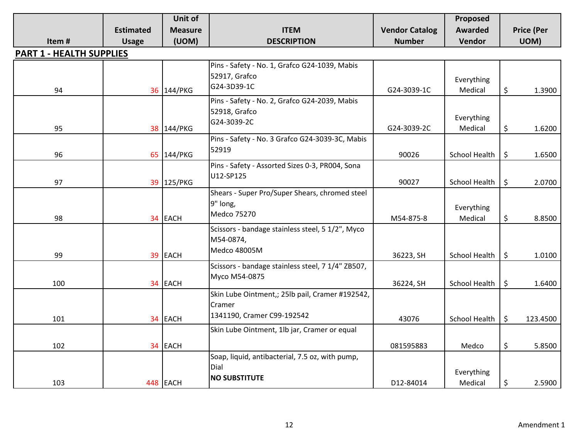|                                 |                  | Unit of         |                                                                               |                       | Proposed              |                   |
|---------------------------------|------------------|-----------------|-------------------------------------------------------------------------------|-----------------------|-----------------------|-------------------|
|                                 | <b>Estimated</b> | <b>Measure</b>  | <b>ITEM</b>                                                                   | <b>Vendor Catalog</b> | <b>Awarded</b>        | <b>Price (Per</b> |
| Item#                           | <b>Usage</b>     | (UOM)           | <b>DESCRIPTION</b>                                                            | <b>Number</b>         | Vendor                | UOM)              |
| <b>PART 1 - HEALTH SUPPLIES</b> |                  |                 |                                                                               |                       |                       |                   |
|                                 |                  |                 | Pins - Safety - No. 1, Grafco G24-1039, Mabis                                 |                       |                       |                   |
|                                 |                  |                 | 52917, Grafco                                                                 |                       | Everything            |                   |
| 94                              |                  | 36 144/PKG      | G24-3D39-1C                                                                   | G24-3039-1C           | Medical               | \$<br>1.3900      |
|                                 |                  |                 | Pins - Safety - No. 2, Grafco G24-2039, Mabis<br>52918, Grafco<br>G24-3039-2C |                       | Everything            |                   |
| 95                              |                  | 38 144/PKG      |                                                                               | G24-3039-2C           | Medical               | \$<br>1.6200      |
| 96                              |                  | 65 144/PKG      | Pins - Safety - No. 3 Grafco G24-3039-3C, Mabis<br>52919                      | 90026                 | School Health         | \$<br>1.6500      |
|                                 |                  |                 | Pins - Safety - Assorted Sizes 0-3, PR004, Sona                               |                       |                       |                   |
| 97                              |                  | 39 125/PKG      | U12-SP125                                                                     | 90027                 | School Health         | \$<br>2.0700      |
| 98                              |                  | 34 EACH         | Shears - Super Pro/Super Shears, chromed steel<br>9" long,<br>Medco 75270     | M54-875-8             | Everything<br>Medical | \$<br>8.8500      |
|                                 |                  |                 | Scissors - bandage stainless steel, 5 1/2", Myco                              |                       |                       |                   |
| 99                              |                  | 39 EACH         | M54-0874,<br>Medco 48005M                                                     | 36223, SH             | School Health         | \$<br>1.0100      |
| 100                             |                  | 34 EACH         | Scissors - bandage stainless steel, 7 1/4" ZB507,<br>Myco M54-0875            | 36224, SH             | School Health         | $\zeta$<br>1.6400 |
|                                 |                  |                 | Skin Lube Ointment,; 25lb pail, Cramer #192542,                               |                       |                       |                   |
| 101                             |                  | 34 EACH         | Cramer<br>1341190, Cramer C99-192542                                          | 43076                 | School Health         | \$<br>123.4500    |
|                                 |                  |                 | Skin Lube Ointment, 1lb jar, Cramer or equal                                  |                       |                       |                   |
| 102                             |                  | 34 EACH         |                                                                               | 081595883             | Medco                 | \$<br>5.8500      |
|                                 |                  |                 | Soap, liquid, antibacterial, 7.5 oz, with pump,<br>Dial                       |                       |                       |                   |
|                                 |                  |                 | <b>NO SUBSTITUTE</b>                                                          |                       | Everything            |                   |
| 103                             |                  | <b>448 EACH</b> |                                                                               | D12-84014             | Medical               | \$<br>2.5900      |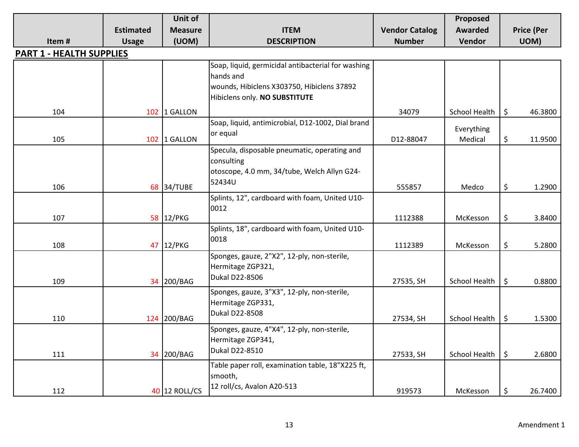|                                 |                  | Unit of        |                                                                                                                     |                       | Proposed              |                   |
|---------------------------------|------------------|----------------|---------------------------------------------------------------------------------------------------------------------|-----------------------|-----------------------|-------------------|
|                                 | <b>Estimated</b> | <b>Measure</b> | <b>ITEM</b>                                                                                                         | <b>Vendor Catalog</b> | <b>Awarded</b>        | <b>Price (Per</b> |
| Item#                           | <b>Usage</b>     | (UOM)          | <b>DESCRIPTION</b>                                                                                                  | <b>Number</b>         | Vendor                | UOM)              |
| <b>PART 1 - HEALTH SUPPLIES</b> |                  |                |                                                                                                                     |                       |                       |                   |
|                                 |                  |                | Soap, liquid, germicidal antibacterial for washing<br>hands and<br>wounds, Hibiclens X303750, Hibiclens 37892       |                       |                       |                   |
| 104                             |                  | 102 1 GALLON   | Hibiclens only. NO SUBSTITUTE                                                                                       | 34079                 | <b>School Health</b>  | \$<br>46.3800     |
| 105                             |                  | 102 1 GALLON   | Soap, liquid, antimicrobial, D12-1002, Dial brand<br>or equal                                                       | D12-88047             | Everything<br>Medical | \$<br>11.9500     |
| 106                             |                  | 68 34/TUBE     | Specula, disposable pneumatic, operating and<br>consulting<br>otoscope, 4.0 mm, 34/tube, Welch Allyn G24-<br>52434U | 555857                | Medco                 | \$<br>1.2900      |
| 107                             |                  | 58 12/PKG      | Splints, 12", cardboard with foam, United U10-<br>0012                                                              | 1112388               | McKesson              | \$<br>3.8400      |
| 108                             |                  | 47 12/PKG      | Splints, 18", cardboard with foam, United U10-<br>0018                                                              | 1112389               | McKesson              | \$<br>5.2800      |
| 109                             |                  | 34 200/BAG     | Sponges, gauze, 2"X2", 12-ply, non-sterile,<br>Hermitage ZGP321,<br>Dukal D22-8506                                  | 27535, SH             | School Health         | \$<br>0.8800      |
| 110                             |                  | 124 200/BAG    | Sponges, gauze, 3"X3", 12-ply, non-sterile,<br>Hermitage ZGP331,<br>Dukal D22-8508                                  | 27534, SH             | School Health         | \$<br>1.5300      |
| 111                             |                  | 34 200/BAG     | Sponges, gauze, 4"X4", 12-ply, non-sterile,<br>Hermitage ZGP341,<br>Dukal D22-8510                                  | 27533, SH             | School Health         | \$<br>2.6800      |
| 112                             |                  | 40 12 ROLL/CS  | Table paper roll, examination table, 18"X225 ft,<br>smooth,<br>12 roll/cs, Avalon A20-513                           | 919573                | McKesson              | \$<br>26.7400     |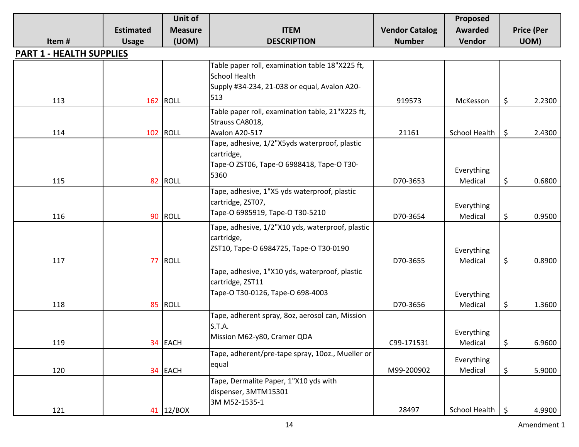|                                 |                  | Unit of         |                                                                                                                         |                       | Proposed                    |                   |
|---------------------------------|------------------|-----------------|-------------------------------------------------------------------------------------------------------------------------|-----------------------|-----------------------------|-------------------|
|                                 | <b>Estimated</b> | <b>Measure</b>  | <b>ITEM</b>                                                                                                             | <b>Vendor Catalog</b> | <b>Awarded</b>              | <b>Price (Per</b> |
| Item#                           | <b>Usage</b>     | (UOM)           | <b>DESCRIPTION</b>                                                                                                      | <b>Number</b>         | Vendor                      | UOM)              |
| <b>PART 1 - HEALTH SUPPLIES</b> |                  |                 |                                                                                                                         |                       |                             |                   |
|                                 |                  |                 | Table paper roll, examination table 18"X225 ft,<br><b>School Health</b><br>Supply #34-234, 21-038 or equal, Avalon A20- |                       |                             |                   |
| 113                             |                  | 162 ROLL        | 513                                                                                                                     | 919573                | McKesson                    | \$<br>2.2300      |
|                                 |                  |                 | Table paper roll, examination table, 21"X225 ft,<br>Strauss CA8018,                                                     |                       |                             |                   |
| 114                             |                  | <b>102 ROLL</b> | Avalon A20-517                                                                                                          | 21161                 | School Health               | \$<br>2.4300      |
| 115                             |                  | 82 ROLL         | Tape, adhesive, 1/2"X5yds waterproof, plastic<br>cartridge,<br>Tape-O ZST06, Tape-O 6988418, Tape-O T30-<br>5360        | D70-3653              | Everything<br>Medical       | \$<br>0.6800      |
| 116                             |                  | 90 ROLL         | Tape, adhesive, 1"X5 yds waterproof, plastic<br>cartridge, ZST07,<br>Tape-O 6985919, Tape-O T30-5210                    | D70-3654              | Everything<br>Medical       | \$<br>0.9500      |
|                                 |                  |                 | Tape, adhesive, 1/2"X10 yds, waterproof, plastic<br>cartridge,<br>ZST10, Tape-O 6984725, Tape-O T30-0190                |                       | Everything                  |                   |
| 117                             | 77               | ROLL            |                                                                                                                         | D70-3655              | Medical                     | \$<br>0.8900      |
| 118                             |                  | 85 ROLL         | Tape, adhesive, 1"X10 yds, waterproof, plastic<br>cartridge, ZST11<br>Tape-O T30-0126, Tape-O 698-4003                  | D70-3656              | Everything<br>Medical       | \$<br>1.3600      |
| 119                             |                  | 34 EACH         | Tape, adherent spray, 8oz, aerosol can, Mission<br>S.T.A.<br>Mission M62-y80, Cramer QDA                                | C99-171531            | Everything<br>Medical       | \$<br>6.9600      |
| 120                             |                  | 34 EACH         | Tape, adherent/pre-tape spray, 10oz., Mueller or<br>equal                                                               | M99-200902            | Everything<br>Medical       | \$<br>5.9000      |
| 121                             |                  | 41 12/BOX       | Tape, Dermalite Paper, 1"X10 yds with<br>dispenser, 3MTM15301<br>3M M52-1535-1                                          | 28497                 | School Health $\frac{1}{5}$ | 4.9900            |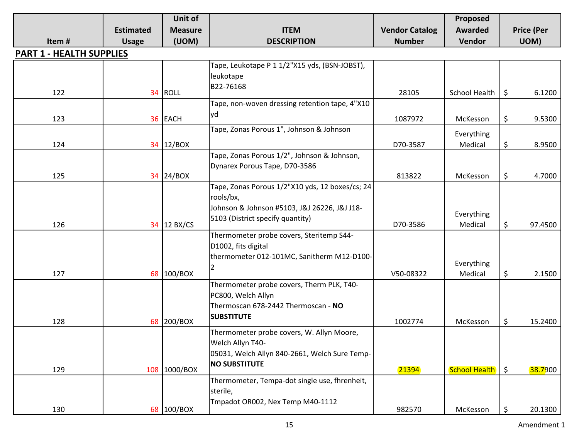|                                 |                  | Unit of        |                                                                                                                                                  |                       | Proposed              |                   |
|---------------------------------|------------------|----------------|--------------------------------------------------------------------------------------------------------------------------------------------------|-----------------------|-----------------------|-------------------|
|                                 | <b>Estimated</b> | <b>Measure</b> | <b>ITEM</b>                                                                                                                                      | <b>Vendor Catalog</b> | <b>Awarded</b>        | <b>Price (Per</b> |
| Item#                           | <b>Usage</b>     | (UOM)          | <b>DESCRIPTION</b>                                                                                                                               | <b>Number</b>         | Vendor                | UOM)              |
| <b>PART 1 - HEALTH SUPPLIES</b> |                  |                |                                                                                                                                                  |                       |                       |                   |
|                                 |                  |                | Tape, Leukotape P 1 1/2"X15 yds, (BSN-JOBST),<br>leukotape<br>B22-76168                                                                          |                       |                       |                   |
| 122                             |                  | 34 ROLL        |                                                                                                                                                  | 28105                 | School Health         | \$<br>6.1200      |
| 123                             |                  | 36 EACH        | Tape, non-woven dressing retention tape, 4"X10<br>yd                                                                                             | 1087972               | McKesson              | \$<br>9.5300      |
|                                 |                  |                | Tape, Zonas Porous 1", Johnson & Johnson                                                                                                         |                       |                       |                   |
| 124                             |                  | 34 12/BOX      |                                                                                                                                                  | D70-3587              | Everything<br>Medical | \$<br>8.9500      |
|                                 |                  |                | Tape, Zonas Porous 1/2", Johnson & Johnson,<br>Dynarex Porous Tape, D70-3586                                                                     |                       |                       |                   |
| 125                             |                  | 34 24/BOX      |                                                                                                                                                  | 813822                | McKesson              | \$<br>4.7000      |
| 126                             |                  | 34 12 BX/CS    | Tape, Zonas Porous 1/2"X10 yds, 12 boxes/cs; 24<br>rools/bx,<br>Johnson & Johnson #5103, J&J 26226, J&J J18-<br>5103 (District specify quantity) | D70-3586              | Everything<br>Medical | \$<br>97.4500     |
| 127                             |                  | 68 100/BOX     | Thermometer probe covers, Steritemp S44-<br>D1002, fits digital<br>thermometer 012-101MC, Sanitherm M12-D100-<br>$\overline{2}$                  | V50-08322             | Everything<br>Medical | \$<br>2.1500      |
| 128                             |                  | 68 200/BOX     | Thermometer probe covers, Therm PLK, T40-<br>PC800, Welch Allyn<br>Thermoscan 678-2442 Thermoscan - NO<br><b>SUBSTITUTE</b>                      | 1002774               | McKesson              | \$<br>15.2400     |
| 129                             |                  | 108 1000/BOX   | Thermometer probe covers, W. Allyn Moore,<br>Welch Allyn T40-<br>05031, Welch Allyn 840-2661, Welch Sure Temp-<br><b>NO SUBSTITUTE</b>           | 21394                 | School Health   \$    | 38.7900           |
| 130                             |                  | 68 100/BOX     | Thermometer, Tempa-dot single use, fhrenheit,<br>sterile,<br>Tmpadot OR002, Nex Temp M40-1112                                                    | 982570                | McKesson              | 20.1300<br>\$     |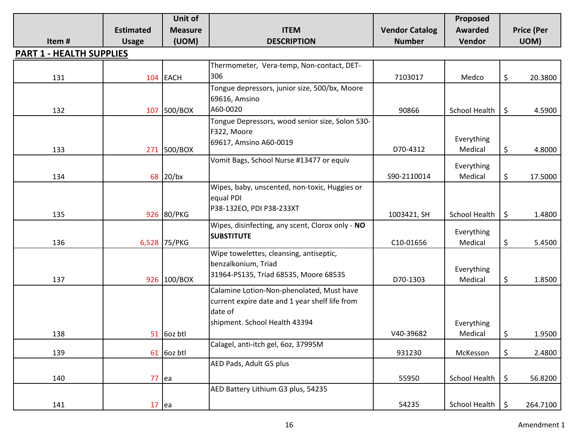| <b>ITEM</b><br><b>Awarded</b><br><b>Estimated</b><br><b>Measure</b><br><b>Vendor Catalog</b> |                    | <b>Price (Per</b> |
|----------------------------------------------------------------------------------------------|--------------------|-------------------|
| (UOM)<br><b>DESCRIPTION</b><br><b>Number</b><br>Vendor<br>Item#<br><b>Usage</b>              |                    | UOM)              |
| <b>PART 1 - HEALTH SUPPLIES</b>                                                              |                    |                   |
| Thermometer, Vera-temp, Non-contact, DET-                                                    |                    |                   |
| 306<br>131<br>104 EACH<br>7103017<br>Medco                                                   | \$                 | 20.3800           |
| Tongue depressors, junior size, 500/bx, Moore                                                |                    |                   |
| 69616, Amsino                                                                                |                    |                   |
| A60-0020<br>132<br>107 500/BOX<br>90866<br>School Health                                     | \$                 | 4.5900            |
| Tongue Depressors, wood senior size, Solon S30-                                              |                    |                   |
| F322, Moore<br>Everything                                                                    |                    |                   |
| 69617, Amsino A60-0019<br>271 500/BOX<br>133<br>D70-4312<br>Medical                          | \$                 | 4.8000            |
| Vomit Bags, School Nurse #13477 or equiv                                                     |                    |                   |
| Everything                                                                                   |                    |                   |
| 68 20/bx<br>Medical<br>134<br>S90-2110014                                                    | \$                 | 17.5000           |
| Wipes, baby, unscented, non-toxic, Huggies or                                                |                    |                   |
| equal PDI<br>P38-132EO, PDI P38-233XT                                                        |                    |                   |
| 926 80/PKG<br>135<br>School Health<br>1003421, SH                                            | $\zeta$            | 1.4800            |
| Wipes, disinfecting, any scent, Clorox only - NO                                             |                    |                   |
| Everything<br><b>SUBSTITUTE</b><br>6,528 75/PKG<br>C10-01656<br>136<br>Medical               | \$                 | 5.4500            |
| Wipe towelettes, cleansing, antiseptic,                                                      |                    |                   |
| benzalkonium, Triad                                                                          |                    |                   |
| Everything<br>31964-PS135, Triad 68535, Moore 68535                                          |                    |                   |
| 926 100/BOX<br>137<br>D70-1303<br>Medical                                                    | \$                 | 1.8500            |
| Calamine Lotion-Non-phenolated, Must have                                                    |                    |                   |
| current expire date and 1 year shelf life from<br>date of                                    |                    |                   |
| shipment. School Health 43394<br>Everything                                                  |                    |                   |
| 138<br>$51$ 60z btl<br>V40-39682<br>Medical                                                  | \$                 | 1.9500            |
| Calagel, anti-itch gel, 6oz, 37995M                                                          |                    |                   |
| $61$ 60z btl<br>139<br>931230<br>McKesson                                                    | \$                 | 2.4800            |
| AED Pads, Adult G5 plus                                                                      |                    |                   |
| 55950<br>School Health<br>140<br>$77$ ea                                                     | \$                 | 56.8200           |
| AED Battery Lithium G3 plus, 54235                                                           |                    |                   |
| 54235<br>School Health<br>141<br>$17$ ea                                                     | $\ddot{\varsigma}$ | 264.7100          |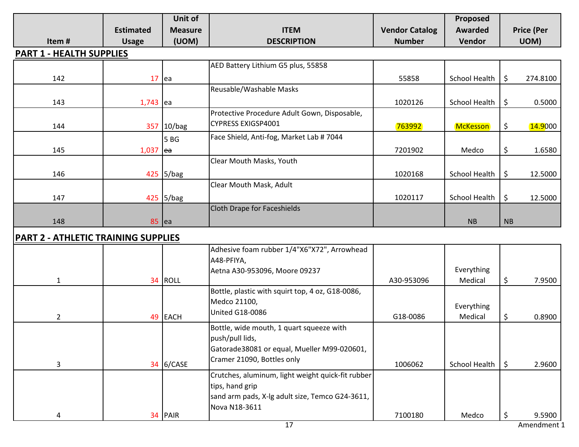|                                            |                  | Unit of        |                                                                    |                       | Proposed             |                   |
|--------------------------------------------|------------------|----------------|--------------------------------------------------------------------|-----------------------|----------------------|-------------------|
|                                            | <b>Estimated</b> | <b>Measure</b> | <b>ITEM</b>                                                        | <b>Vendor Catalog</b> | <b>Awarded</b>       | <b>Price (Per</b> |
| Item#                                      | <b>Usage</b>     | (UOM)          | <b>DESCRIPTION</b>                                                 | <b>Number</b>         | Vendor               | UOM)              |
| <b>PART 1 - HEALTH SUPPLIES</b>            |                  |                |                                                                    |                       |                      |                   |
|                                            |                  |                | AED Battery Lithium G5 plus, 55858                                 |                       |                      |                   |
| 142                                        | 17               | lea            |                                                                    | 55858                 | School Health        | \$<br>274.8100    |
|                                            |                  |                | Reusable/Washable Masks                                            |                       |                      |                   |
| 143                                        | $1,743$ ea       |                |                                                                    | 1020126               | <b>School Health</b> | \$<br>0.5000      |
|                                            |                  |                | Protective Procedure Adult Gown, Disposable,                       |                       |                      |                   |
| 144                                        | 357              | 10/bag         | <b>CYPRESS EXIGSP4001</b>                                          | 763992                | McKesson             | \$<br>14.9000     |
|                                            |                  | 5BG            | Face Shield, Anti-fog, Market Lab # 7044                           |                       |                      |                   |
| 145                                        | 1,037            | <sub>ea</sub>  |                                                                    | 7201902               | Medco                | \$<br>1.6580      |
|                                            |                  |                | Clear Mouth Masks, Youth                                           |                       |                      |                   |
| 146                                        |                  | 425 5/bag      |                                                                    | 1020168               | School Health        | \$<br>12.5000     |
|                                            |                  |                | Clear Mouth Mask, Adult                                            |                       |                      |                   |
| 147                                        |                  | 425 5/bag      |                                                                    | 1020117               | <b>School Health</b> | \$<br>12.5000     |
|                                            |                  |                | Cloth Drape for Faceshields                                        |                       |                      |                   |
| 148                                        | $85$ ea          |                |                                                                    |                       | <b>NB</b>            | <b>NB</b>         |
| <b>PART 2 - ATHLETIC TRAINING SUPPLIES</b> |                  |                |                                                                    |                       |                      |                   |
|                                            |                  |                | Adhesive foam rubber 1/4"X6"X72", Arrowhead                        |                       |                      |                   |
|                                            |                  |                | A48-PFIYA,                                                         |                       |                      |                   |
|                                            |                  |                | Aetna A30-953096, Moore 09237                                      |                       | Everything           |                   |
| $\mathbf{1}$                               |                  | 34 ROLL        |                                                                    | A30-953096            | Medical              | \$<br>7.9500      |
|                                            |                  |                | Bottle, plastic with squirt top, 4 oz, G18-0086,<br>Medco 21100,   |                       |                      |                   |
|                                            |                  |                | <b>United G18-0086</b>                                             |                       | Everything           |                   |
| $\overline{2}$                             |                  | 49 EACH        |                                                                    | G18-0086              | Medical              | \$<br>0.8900      |
|                                            |                  |                | Bottle, wide mouth, 1 quart squeeze with                           |                       |                      |                   |
|                                            |                  |                | push/pull lids,<br>Gatorade38081 or equal, Mueller M99-020601,     |                       |                      |                   |
|                                            |                  |                | Cramer 21090, Bottles only                                         |                       |                      |                   |
| $\mathbf{3}$                               |                  | 34 6/CASE      |                                                                    | 1006062               | School Health        | 2.9600<br>\$      |
|                                            |                  |                | Crutches, aluminum, light weight quick-fit rubber                  |                       |                      |                   |
|                                            |                  |                | tips, hand grip<br>sand arm pads, X-lg adult size, Temco G24-3611, |                       |                      |                   |
|                                            |                  |                | Nova N18-3611                                                      |                       |                      |                   |
| 4                                          |                  | 34 PAIR        |                                                                    | 7100180               | Medco                | \$<br>9.5900      |
|                                            |                  |                | 17                                                                 |                       |                      | Amendment 1       |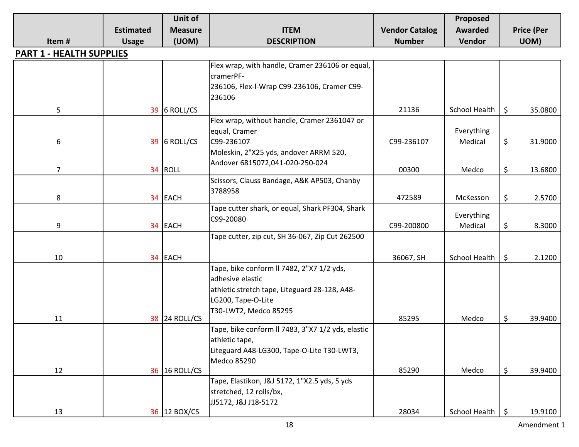|                                 |                  | Unit of        |                                                                                                                                                               |                       | Proposed              |                   |
|---------------------------------|------------------|----------------|---------------------------------------------------------------------------------------------------------------------------------------------------------------|-----------------------|-----------------------|-------------------|
|                                 | <b>Estimated</b> | <b>Measure</b> | <b>ITEM</b>                                                                                                                                                   | <b>Vendor Catalog</b> | <b>Awarded</b>        | <b>Price (Per</b> |
| Item#                           | <b>Usage</b>     | (UOM)          | <b>DESCRIPTION</b>                                                                                                                                            | <b>Number</b>         | Vendor                | UOM)              |
| <b>PART 1 - HEALTH SUPPLIES</b> |                  |                |                                                                                                                                                               |                       |                       |                   |
|                                 |                  |                | Flex wrap, with handle, Cramer 236106 or equal,<br>cramerPF-<br>236106, Flex-I-Wrap C99-236106, Cramer C99-<br>236106                                         |                       |                       |                   |
| 5                               |                  | 39 6 ROLL/CS   |                                                                                                                                                               | 21136                 | School Health         | 35.0800<br>\$     |
| 6                               |                  | 39 6 ROLL/CS   | Flex wrap, without handle, Cramer 2361047 or<br>equal, Cramer<br>C99-236107                                                                                   | C99-236107            | Everything<br>Medical | \$<br>31.9000     |
| $\overline{7}$                  |                  | 34 ROLL        | Moleskin, 2"X25 yds, andover ARRM 520,<br>Andover 6815072,041-020-250-024                                                                                     | 00300                 | Medco                 | \$<br>13.6800     |
| 8                               |                  | 34 EACH        | Scissors, Clauss Bandage, A&K AP503, Chanby<br>3788958                                                                                                        | 472589                | McKesson              | \$<br>2.5700      |
| 9                               |                  | 34 EACH        | Tape cutter shark, or equal, Shark PF304, Shark<br>C99-20080                                                                                                  | C99-200800            | Everything<br>Medical | \$<br>8.3000      |
| 10                              |                  | 34 EACH        | Tape cutter, zip cut, SH 36-067, Zip Cut 262500                                                                                                               | 36067, SH             | School Health         | \$<br>2.1200      |
| 11                              |                  | 38 24 ROLL/CS  | Tape, bike conform Il 7482, 2"X7 1/2 yds,<br>adhesive elastic<br>athletic stretch tape, Liteguard 28-128, A48-<br>LG200, Tape-O-Lite<br>T30-LWT2, Medco 85295 | 85295                 | Medco                 | \$<br>39.9400     |
| 12                              |                  | 36 16 ROLL/CS  | Tape, bike conform II 7483, 3"X7 1/2 yds, elastic<br>athletic tape,<br>Liteguard A48-LG300, Tape-O-Lite T30-LWT3,<br>Medco 85290                              | 85290                 | Medco                 | 39.9400<br>\$     |
| 13                              |                  | 36 12 BOX/CS   | Tape, Elastikon, J&J 5172, 1"X2.5 yds, 5 yds<br>stretched, 12 rolls/bx,<br>JJ5172, J&J J18-5172                                                               | 28034                 | School Health   \$    | 19.9100           |